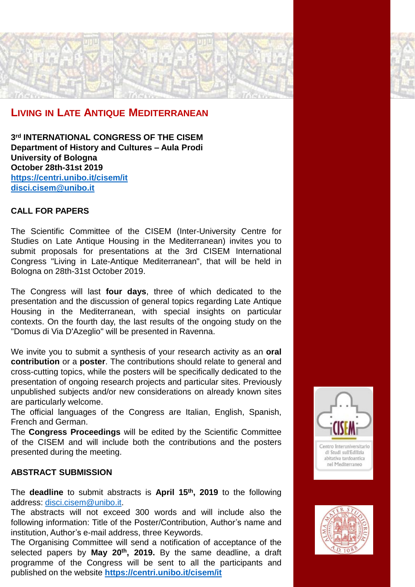## **LIVING IN LATE ANTIQUE MEDITERRANEAN**

**3 rd INTERNATIONAL CONGRESS OF THE CISEM Department of History and Cultures – Aula Prodi University of Bologna October 28th-31st 2019 <https://centri.unibo.it/cisem/it> [disci.cisem@unibo.it](mailto:disci.cisem@unibo.it)**

### **CALL FOR PAPERS**

The Scientific Committee of the CISEM (Inter-University Centre for Studies on Late Antique Housing in the Mediterranean) invites you to submit proposals for presentations at the 3rd CISEM International Congress "Living in Late-Antique Mediterranean", that will be held in Bologna on 28th-31st October 2019.

The Congress will last **four days**, three of which dedicated to the presentation and the discussion of general topics regarding Late Antique Housing in the Mediterranean, with special insights on particular contexts. On the fourth day, the last results of the ongoing study on the "Domus di Via D'Azeglio" will be presented in Ravenna.

We invite you to submit a synthesis of your research activity as an **oral contribution** or a **poster**. The contributions should relate to general and cross-cutting topics, while the posters will be specifically dedicated to the presentation of ongoing research projects and particular sites. Previously unpublished subjects and/or new considerations on already known sites are particularly welcome.

The official languages of the Congress are Italian, English, Spanish, French and German.

The **Congress Proceedings** will be edited by the Scientific Committee of the CISEM and will include both the contributions and the posters presented during the meeting.

#### **ABSTRACT SUBMISSION**

The **deadline** to submit abstracts is **April 15th, 2019** to the following address: [disci.cisem@unibo.it](mailto:disci.cisem@unibo.it).

The abstracts will not exceed 300 words and will include also the following information: Title of the Poster/Contribution, Author's name and institution, Author's e-mail address, three Keywords.

The Organising Committee will send a notification of acceptance of the selected papers by **May 20th, 2019.** By the same deadline, a draft programme of the Congress will be sent to all the participants and published on the website **<https://centri.unibo.it/cisem/it>**



abitativa tardoantica nel Mediterraneo